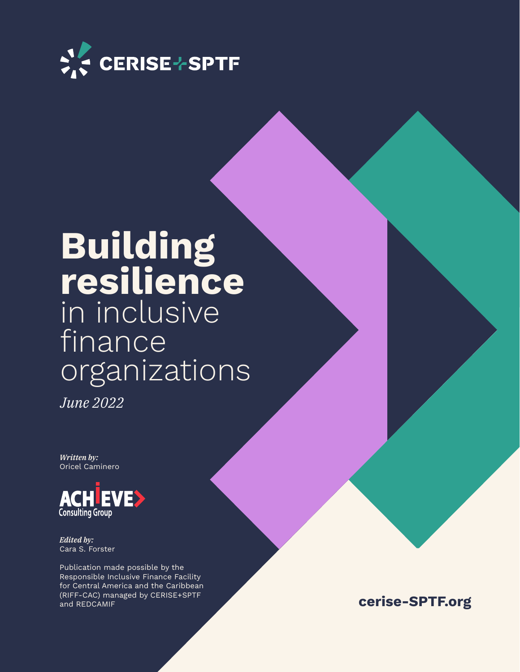

## **Building resilience**  in inclusive finance organizations

*June 2022*

*Written by:* Oricel Caminero



*Edited by:*  Cara S. Forster

Publication made possible by the Responsible Inclusive Finance Facility for Central America and the Caribbean (RIFF-CAC) managed by CERISE+SPTF and REDCAMIF

**cerise-SPTF.org**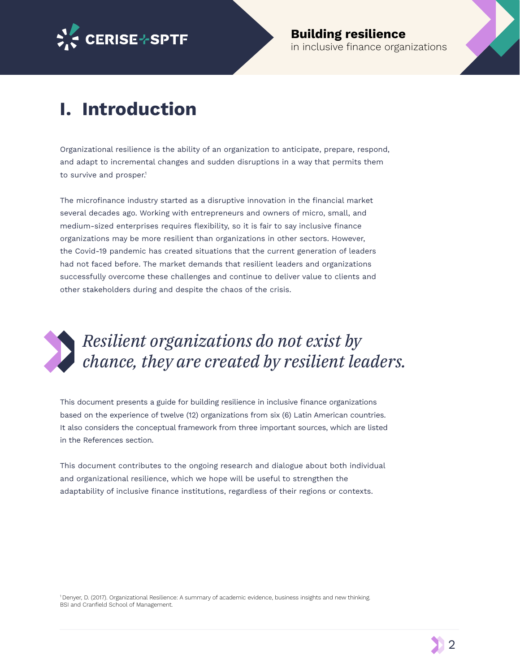

### **I. Introduction**

Organizational resilience is the ability of an organization to anticipate, prepare, respond, and adapt to incremental changes and sudden disruptions in a way that permits them to survive and prosper.<sup>1</sup>

The microfinance industry started as a disruptive innovation in the financial market several decades ago. Working with entrepreneurs and owners of micro, small, and medium-sized enterprises requires fexibility, so it is fair to say inclusive fnance organizations may be more resilient than organizations in other sectors. However, the Covid-19 pandemic has created situations that the current generation of leaders had not faced before. The market demands that resilient leaders and organizations successfully overcome these challenges and continue to deliver value to clients and other stakeholders during and despite the chaos of the crisis.



### *Resilient organizations do not exist by chance, they are created by resilient leaders.*

This document presents a guide for building resilience in inclusive fnance organizations based on the experience of twelve (12) organizations from six (6) Latin American countries. It also considers the conceptual framework from three important sources, which are listed in the References section.

This document contributes to the ongoing research and dialogue about both individual and organizational resilience, which we hope will be useful to strengthen the adaptability of inclusive finance institutions, regardless of their regions or contexts.

<sup>1</sup>Denyer, D. (2017). Organizational Resilience: A summary of academic evidence, business insights and new thinking. BSI and Cranfield School of Management.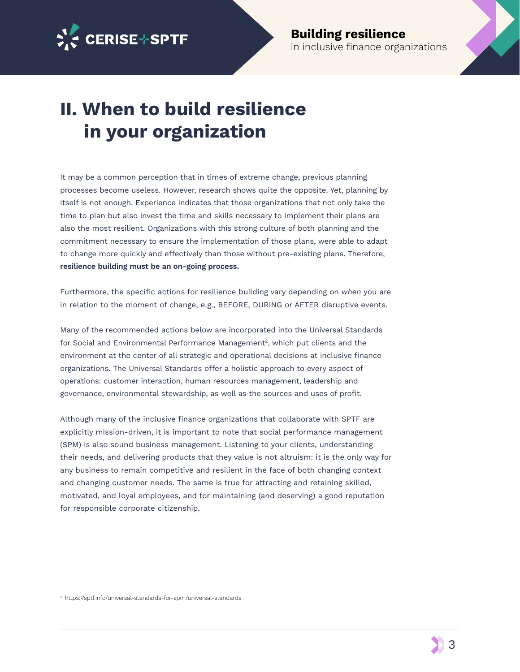

### **II. When to build resilience in your organization**

It may be a common perception that in times of extreme change, previous planning processes become useless. However, research shows quite the opposite. Yet, planning by itself is not enough. Experience indicates that those organizations that not only take the time to plan but also invest the time and skills necessary to implement their plans are also the most resilient. Organizations with this strong culture of both planning and the commitment necessary to ensure the implementation of those plans, were able to adapt to change more quickly and efectively than those without pre-existing plans. Therefore, **resilience building must be an on-going process.** 

Furthermore, the specific actions for resilience building vary depending on when you are in relation to the moment of change, e.g., BEFORE, DURING or AFTER disruptive events.

Many of the recommended actions below are incorporated into the Universal Standards for Social and Environmental Performance Management<sup>2</sup>, which put clients and the environment at the center of all strategic and operational decisions at inclusive fnance organizations. The Universal Standards offer a holistic approach to every aspect of operations: customer interaction, human resources management, leadership and governance, environmental stewardship, as well as the sources and uses of proft.

Although many of the inclusive finance organizations that collaborate with SPTF are explicitly mission-driven, it is important to note that social performance management (SPM) is also sound business management. Listening to your clients, understanding their needs, and delivering products that they value is not altruism: it is the only way for any business to remain competitive and resilient in the face of both changing context and changing customer needs. The same is true for attracting and retaining skilled, motivated, and loyal employees, and for maintaining (and deserving) a good reputation for responsible corporate citizenship.

2 https://sptf.info/universal-standards-for-spm/universal-standards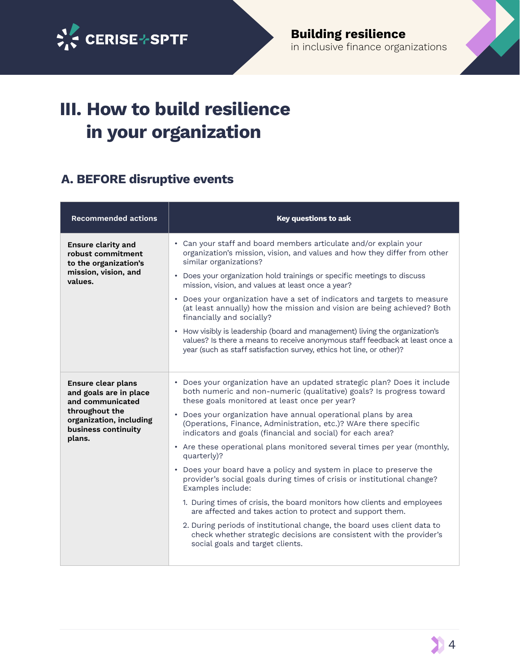

## **III. How to build resilience in your organization**

#### **A. BEFORE disruptive events**

| <b>Recommended actions</b>                                                 | <b>Key questions to ask</b>                                                                                                                                                                                                          |
|----------------------------------------------------------------------------|--------------------------------------------------------------------------------------------------------------------------------------------------------------------------------------------------------------------------------------|
| <b>Ensure clarity and</b><br>robust commitment<br>to the organization's    | Can your staff and board members articulate and/or explain your<br>organization's mission, vision, and values and how they differ from other<br>similar organizations?                                                               |
| mission, vision, and<br>values.                                            | Does your organization hold trainings or specific meetings to discuss<br>mission, vision, and values at least once a year?                                                                                                           |
|                                                                            | • Does your organization have a set of indicators and targets to measure<br>(at least annually) how the mission and vision are being achieved? Both<br>financially and socially?                                                     |
|                                                                            | • How visibly is leadership (board and management) living the organization's<br>values? Is there a means to receive anonymous staff feedback at least once a<br>year (such as staff satisfaction survey, ethics hot line, or other)? |
| Ensure clear plans<br>and goals are in place<br>and communicated           | • Does your organization have an updated strategic plan? Does it include<br>both numeric and non-numeric (qualitative) goals? Is progress toward<br>these goals monitored at least once per year?                                    |
| throughout the<br>organization, including<br>business continuity<br>plans. | Does your organization have annual operational plans by area<br>(Operations, Finance, Administration, etc.)? WAre there specific<br>indicators and goals (financial and social) for each area?                                       |
|                                                                            | • Are these operational plans monitored several times per year (monthly,<br>quarterly)?                                                                                                                                              |
|                                                                            | Does your board have a policy and system in place to preserve the<br>provider's social goals during times of crisis or institutional change?<br>Examples include:                                                                    |
|                                                                            | 1. During times of crisis, the board monitors how clients and employees<br>are affected and takes action to protect and support them.                                                                                                |
|                                                                            | 2. During periods of institutional change, the board uses client data to<br>check whether strategic decisions are consistent with the provider's<br>social goals and target clients.                                                 |
|                                                                            |                                                                                                                                                                                                                                      |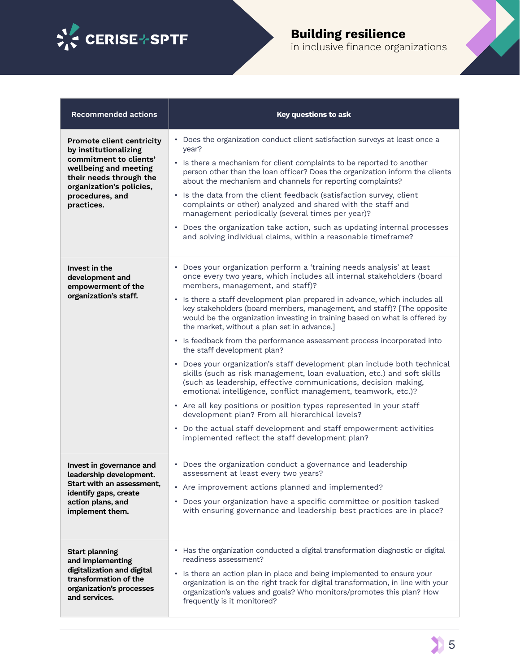

#### **Building resilience**  in inclusive finance organizations

| <b>Recommended actions</b>                                                                                                                                                                           | <b>Key questions to ask</b>                                                                                                                                                                                                                                                                                                                                                                                                                                                                                                                                                                                                                                                                                                                                                                                                                                                                                                                                                                                                                                                                                                       |
|------------------------------------------------------------------------------------------------------------------------------------------------------------------------------------------------------|-----------------------------------------------------------------------------------------------------------------------------------------------------------------------------------------------------------------------------------------------------------------------------------------------------------------------------------------------------------------------------------------------------------------------------------------------------------------------------------------------------------------------------------------------------------------------------------------------------------------------------------------------------------------------------------------------------------------------------------------------------------------------------------------------------------------------------------------------------------------------------------------------------------------------------------------------------------------------------------------------------------------------------------------------------------------------------------------------------------------------------------|
| <b>Promote client centricity</b><br>by institutionalizing<br>commitment to clients'<br>wellbeing and meeting<br>their needs through the<br>organization's policies,<br>procedures, and<br>practices. | • Does the organization conduct client satisfaction surveys at least once a<br>year?<br>• Is there a mechanism for client complaints to be reported to another<br>person other than the loan officer? Does the organization inform the clients<br>about the mechanism and channels for reporting complaints?<br>• Is the data from the client feedback (satisfaction survey, client<br>complaints or other) analyzed and shared with the staff and<br>management periodically (several times per year)?<br>• Does the organization take action, such as updating internal processes<br>and solving individual claims, within a reasonable timeframe?                                                                                                                                                                                                                                                                                                                                                                                                                                                                              |
| Invest in the<br>development and<br>empowerment of the<br>organization's staff.                                                                                                                      | • Does your organization perform a 'training needs analysis' at least<br>once every two years, which includes all internal stakeholders (board<br>members, management, and staff)?<br>• Is there a staff development plan prepared in advance, which includes all<br>key stakeholders (board members, management, and staff)? [The opposite<br>would be the organization investing in training based on what is offered by<br>the market, without a plan set in advance.]<br>• Is feedback from the performance assessment process incorporated into<br>the staff development plan?<br>• Does your organization's staff development plan include both technical<br>skills (such as risk management, loan evaluation, etc.) and soft skills<br>(such as leadership, effective communications, decision making,<br>emotional intelligence, conflict management, teamwork, etc.)?<br>• Are all key positions or position types represented in your staff<br>development plan? From all hierarchical levels?<br>• Do the actual staff development and staff empowerment activities<br>implemented reflect the staff development plan? |
| Invest in governance and<br>leadership development.<br>Start with an assessment,<br>identify gaps, create<br>action plans, and<br>implement them.                                                    | • Does the organization conduct a governance and leadership<br>assessment at least every two years?<br>• Are improvement actions planned and implemented?<br>• Does your organization have a specific committee or position tasked<br>with ensuring governance and leadership best practices are in place?                                                                                                                                                                                                                                                                                                                                                                                                                                                                                                                                                                                                                                                                                                                                                                                                                        |
| <b>Start planning</b><br>and implementing<br>digitalization and digital<br>transformation of the<br>organization's processes<br>and services.                                                        | • Has the organization conducted a digital transformation diagnostic or digital<br>readiness assessment?<br>• Is there an action plan in place and being implemented to ensure your<br>organization is on the right track for digital transformation, in line with your<br>organization's values and goals? Who monitors/promotes this plan? How<br>frequently is it monitored?                                                                                                                                                                                                                                                                                                                                                                                                                                                                                                                                                                                                                                                                                                                                                   |

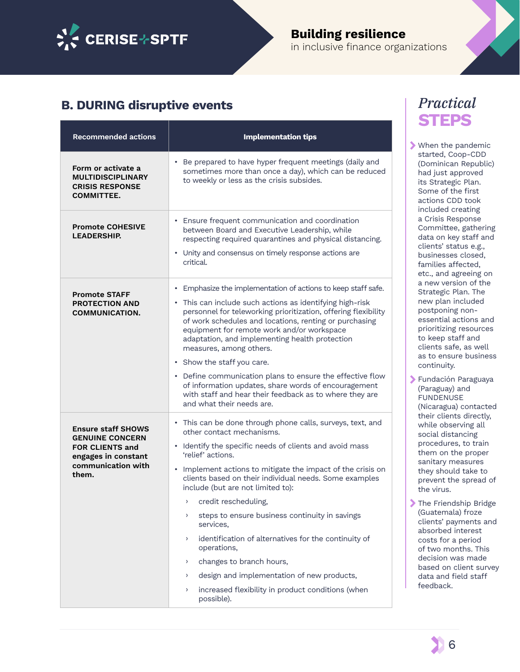

### **Building resilience**

in inclusive finance organizations

#### **B. DURING disruptive events**

| <b>Recommended actions</b>                                                                                                          | <b>Implementation tips</b>                                                                                                                                                                                                                                                                                                                                                                                                                                                                                                                                                                                                                                                                                                                         |
|-------------------------------------------------------------------------------------------------------------------------------------|----------------------------------------------------------------------------------------------------------------------------------------------------------------------------------------------------------------------------------------------------------------------------------------------------------------------------------------------------------------------------------------------------------------------------------------------------------------------------------------------------------------------------------------------------------------------------------------------------------------------------------------------------------------------------------------------------------------------------------------------------|
| Form or activate a<br><b>MULTIDISCIPLINARY</b><br><b>CRISIS RESPONSE</b><br><b>COMMITTEE.</b>                                       | • Be prepared to have hyper frequent meetings (daily and<br>sometimes more than once a day), which can be reduced<br>to weekly or less as the crisis subsides.                                                                                                                                                                                                                                                                                                                                                                                                                                                                                                                                                                                     |
| <b>Promote COHESIVE</b><br><b>LEADERSHIP.</b>                                                                                       | • Ensure frequent communication and coordination<br>between Board and Executive Leadership, while<br>respecting required quarantines and physical distancing.<br>• Unity and consensus on timely response actions are<br>critical.                                                                                                                                                                                                                                                                                                                                                                                                                                                                                                                 |
| <b>Promote STAFF</b><br><b>PROTECTION AND</b><br><b>COMMUNICATION.</b>                                                              | • Emphasize the implementation of actions to keep staff safe.<br>• This can include such actions as identifying high-risk<br>personnel for teleworking prioritization, offering flexibility<br>of work schedules and locations, renting or purchasing<br>equipment for remote work and/or workspace<br>adaptation, and implementing health protection<br>measures, among others.<br>• Show the staff you care.<br>• Define communication plans to ensure the effective flow<br>of information updates, share words of encouragement<br>with staff and hear their feedback as to where they are<br>and what their needs are.                                                                                                                        |
| <b>Ensure staff SHOWS</b><br><b>GENUINE CONCERN</b><br><b>FOR CLIENTS and</b><br>engages in constant<br>communication with<br>them. | • This can be done through phone calls, surveys, text, and<br>other contact mechanisms.<br>• Identify the specific needs of clients and avoid mass<br>'relief' actions.<br>• Implement actions to mitigate the impact of the crisis on<br>clients based on their individual needs. Some examples<br>include (but are not limited to):<br>credit rescheduling.<br>$\lambda$<br>steps to ensure business continuity in savings<br>><br>services,<br>identification of alternatives for the continuity of<br>$\left( \right)$<br>operations,<br>changes to branch hours,<br>$\left( \right)$<br>design and implementation of new products,<br>$\left( \right)$<br>increased flexibility in product conditions (when<br>$\left( \right)$<br>possible). |

#### *Practical*  **STEPS**

When the pandemic started, Coop-CDD (Dominican Republic) had just approved its Strategic Plan. Some of the first actions CDD took included creating a Crisis Response Committee, gathering data on key staff and clients' status e.g., businesses closed, families afected, etc., and agreeing on a new version of the Strategic Plan. The new plan included postponing nonessential actions and prioritizing resources to keep staff and clients safe, as well as to ensure business continuity.

- Fundación Paraguaya (Paraguay) and FUNDENUSE (Nicaragua) contacted their clients directly, while observing all social distancing procedures, to train them on the proper sanitary measures they should take to prevent the spread of the virus.
- The Friendship Bridge (Guatemala) froze clients' payments and absorbed interest costs for a period of two months. This decision was made based on client survey data and field staff feedback.

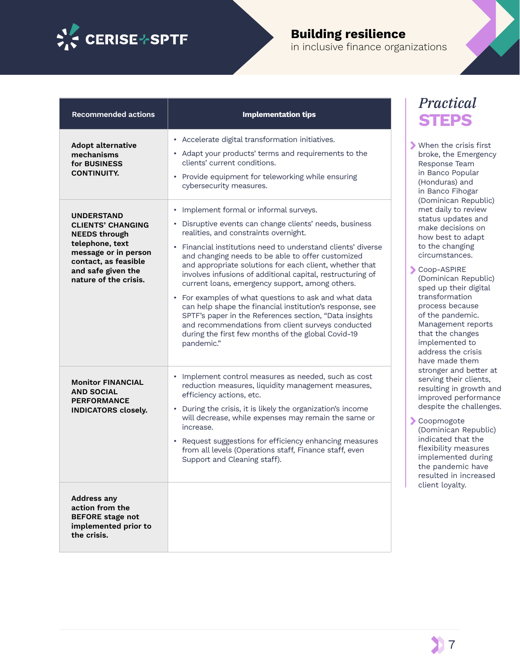

### **Building resilience**

in inclusive fnance organizations

| <b>Recommended actions</b>                                                                                                                                                              | <b>Implementation tips</b>                                                                                                                                                                                                                                                                                                                                                                                                                                                                                                                                                                                                                                                                                                                                    |
|-----------------------------------------------------------------------------------------------------------------------------------------------------------------------------------------|---------------------------------------------------------------------------------------------------------------------------------------------------------------------------------------------------------------------------------------------------------------------------------------------------------------------------------------------------------------------------------------------------------------------------------------------------------------------------------------------------------------------------------------------------------------------------------------------------------------------------------------------------------------------------------------------------------------------------------------------------------------|
| <b>Adopt alternative</b><br>mechanisms<br>for BUSINESS<br><b>CONTINUITY.</b>                                                                                                            | • Accelerate digital transformation initiatives.<br>• Adapt your products' terms and requirements to the<br>clients' current conditions.<br>• Provide equipment for teleworking while ensuring<br>cybersecurity measures.                                                                                                                                                                                                                                                                                                                                                                                                                                                                                                                                     |
| <b>UNDERSTAND</b><br><b>CLIENTS' CHANGING</b><br><b>NEEDS through</b><br>telephone, text<br>message or in person<br>contact, as feasible<br>and safe given the<br>nature of the crisis. | Implement formal or informal surveys.<br>Disruptive events can change clients' needs, business<br>$\bullet$<br>realities, and constraints overnight.<br>• Financial institutions need to understand clients' diverse<br>and changing needs to be able to offer customized<br>and appropriate solutions for each client, whether that<br>involves infusions of additional capital, restructuring of<br>current loans, emergency support, among others.<br>• For examples of what questions to ask and what data<br>can help shape the financial institution's response, see<br>SPTF's paper in the References section, "Data insights<br>and recommendations from client surveys conducted<br>during the first few months of the global Covid-19<br>pandemic." |
| <b>Monitor FINANCIAL</b><br><b>AND SOCIAL</b><br><b>PERFORMANCE</b><br><b>INDICATORS closely.</b>                                                                                       | Implement control measures as needed, such as cost<br>reduction measures, liquidity management measures,<br>efficiency actions, etc.<br>During the crisis, it is likely the organization's income<br>$\bullet$<br>will decrease, while expenses may remain the same or<br>increase.<br>• Request suggestions for efficiency enhancing measures<br>from all levels (Operations staff, Finance staff, even<br>Support and Cleaning staff).                                                                                                                                                                                                                                                                                                                      |
| <b>Address any</b><br>action from the<br><b>BEFORE</b> stage not<br>implemented prior to<br>the crisis.                                                                                 |                                                                                                                                                                                                                                                                                                                                                                                                                                                                                                                                                                                                                                                                                                                                                               |

#### *Practical*  **STEPS**

When the crisis first broke, the Emergency Response Team in Banco Popular (Honduras) and in Banco Fihogar (Dominican Republic) met daily to review status updates and make decisions on how best to adapt to the changing circumstances.

Coop-ASPIRE (Dominican Republic) sped up their digital transformation process because of the pandemic. Management reports that the changes implemented to address the crisis have made them stronger and better at serving their clients, resulting in growth and improved performance despite the challenges.

Coopmogote (Dominican Republic) indicated that the flexibility measures implemented during the pandemic have resulted in increased client loyalty.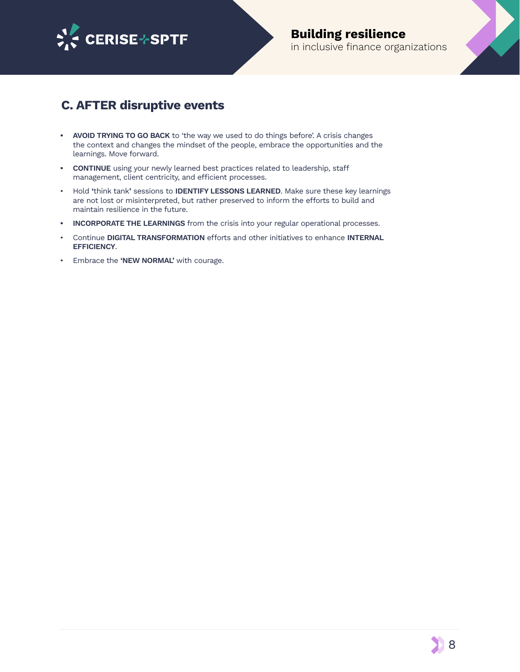

#### **Building resilience**  in inclusive finance organizations

#### **C. AFTER disruptive events**

- **• AVOID TRYING TO GO BACK** to 'the way we used to do things before'. A crisis changes the context and changes the mindset of the people, embrace the opportunities and the learnings. Move forward.
- **• CONTINUE** using your newly learned best practices related to leadership, staf management, client centricity, and efficient processes.
- Hold **'**think tank**'** sessions to **IDENTIFY LESSONS LEARNED**. Make sure these key learnings are not lost or misinterpreted, but rather preserved to inform the efforts to build and maintain resilience in the future.
- **• INCORPORATE THE LEARNINGS** from the crisis into your regular operational processes.
- Continue **DIGITAL TRANSFORMATION** efforts and other initiatives to enhance **INTERNAL EFFICIENCY**.
- Embrace the **'NEW NORMAL'** with courage.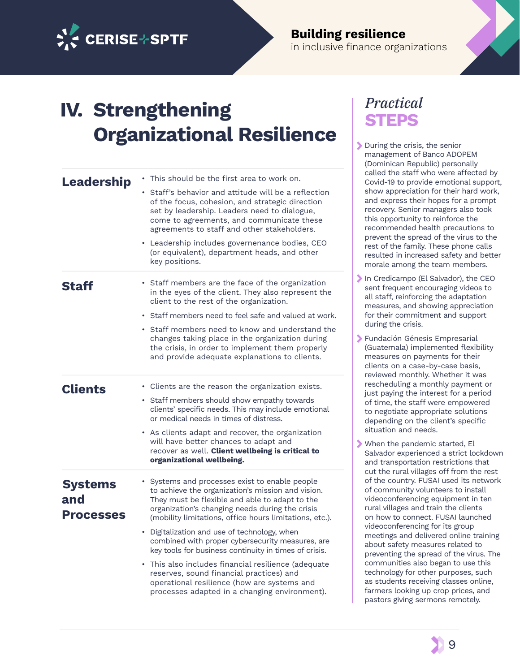

#### **Building resilience**  in inclusive fnance organizations

## **IV. Strengthening Organizational Resilience**

| Leadership                                | This should be the first area to work on.                                                                                                                                                                                                                         |
|-------------------------------------------|-------------------------------------------------------------------------------------------------------------------------------------------------------------------------------------------------------------------------------------------------------------------|
|                                           | Staff's behavior and attitude will be a reflection<br>of the focus, cohesion, and strategic direction<br>set by leadership. Leaders need to dialogue,<br>come to agreements, and communicate these<br>agreements to staff and other stakeholders.                 |
|                                           | Leadership includes governenance bodies, CEO<br>(or equivalent), department heads, and other<br>key positions.                                                                                                                                                    |
| Staff                                     | • Staff members are the face of the organization<br>in the eyes of the client. They also represent the<br>client to the rest of the organization.                                                                                                                 |
|                                           | • Staff members need to feel safe and valued at work.                                                                                                                                                                                                             |
|                                           | • Staff members need to know and understand the<br>changes taking place in the organization during<br>the crisis, in order to implement them properly<br>and provide adequate explanations to clients.                                                            |
| <b>Clients</b>                            | • Clients are the reason the organization exists.                                                                                                                                                                                                                 |
|                                           | • Staff members should show empathy towards<br>clients' specific needs. This may include emotional<br>or medical needs in times of distress.                                                                                                                      |
|                                           | • As clients adapt and recover, the organization<br>will have better chances to adapt and<br>recover as well. Client wellbeing is critical to<br>organizational wellbeing.                                                                                        |
| <b>Systems</b><br>and<br><b>Processes</b> | Systems and processes exist to enable people<br>to achieve the organization's mission and vision.<br>They must be flexible and able to adapt to the<br>organization's changing needs during the crisis<br>(mobility limitations, office hours limitations, etc.). |
|                                           | Digitalization and use of technology, when<br>٠<br>combined with proper cybersecurity measures, are<br>key tools for business continuity in times of crisis.                                                                                                      |
|                                           | This also includes financial resilience (adequate<br>reserves, sound financial practices) and<br>operational resilience (how are systems and<br>processes adapted in a changing environment).                                                                     |

#### *Practical*  **STEPS**

- During the crisis, the senior management of Banco ADOPEM (Dominican Republic) personally called the staff who were affected by Covid-19 to provide emotional support, show appreciation for their hard work, and express their hopes for a prompt recovery. Senior managers also took this opportunity to reinforce the recommended health precautions to prevent the spread of the virus to the rest of the family. These phone calls resulted in increased safety and better morale among the team members.
- In Credicampo (El Salvador), the CEO sent frequent encouraging videos to all staff, reinforcing the adaptation measures, and showing appreciation for their commitment and support during the crisis.
- Fundación Génesis Empresarial (Guatemala) implemented flexibility measures on payments for their clients on a case-by-case basis, reviewed monthly. Whether it was rescheduling a monthly payment or just paying the interest for a period of time, the staff were empowered to negotiate appropriate solutions depending on the client's specific situation and needs.
- When the pandemic started, El Salvador experienced a strict lockdown and transportation restrictions that cut the rural villages off from the rest of the country. FUSAI used its network of community volunteers to install videoconferencing equipment in ten rural villages and train the clients on how to connect. FUSAI launched videoconferencing for its group meetings and delivered online training about safety measures related to preventing the spread of the virus. The communities also began to use this technology for other purposes, such as students receiving classes online, farmers looking up crop prices, and pastors giving sermons remotely.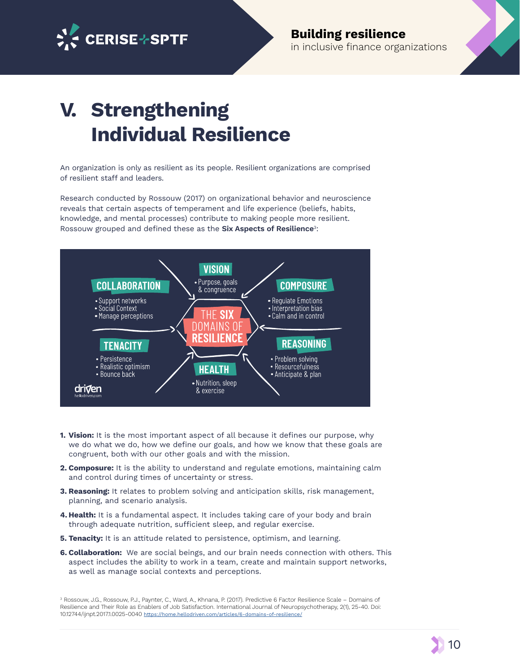

**Building resilience**  in inclusive finance organizations

## **V. Strengthening Individual Resilience**

An organization is only as resilient as its people. Resilient organizations are comprised of resilient staff and leaders.

Research conducted by Rossouw (2017) on organizational behavior and neuroscience reveals that certain aspects of temperament and life experience (beliefs, habits, knowledge, and mental processes) contribute to making people more resilient. Rossouw grouped and defned these as the **Six Aspects of Resilience**3:



- **1. Vision:** It is the most important aspect of all because it defnes our purpose, why we do what we do, how we defne our goals, and how we know that these goals are congruent, both with our other goals and with the mission.
- **2. Composure:** It is the ability to understand and regulate emotions, maintaining calm and control during times of uncertainty or stress.
- **3. Reasoning:** It relates to problem solving and anticipation skills, risk management, planning, and scenario analysis.
- **4. Health:** It is a fundamental aspect. It includes taking care of your body and brain through adequate nutrition, sufficient sleep, and regular exercise.
- **5. Tenacity:** It is an attitude related to persistence, optimism, and learning.
- **6. Collaboration:** We are social beings, and our brain needs connection with others. This aspect includes the ability to work in a team, create and maintain support networks, as well as manage social contexts and perceptions.

<sup>3</sup> Rossouw, J.G., Rossouw, P.J., Paynter, C., Ward, A., Khnana, P. (2017). Predictive 6 Factor Resilience Scale – Domains of Resilience and Their Role as Enablers of Job Satisfaction. International Journal of Neuropsychotherapy, 2(1), 25-40. Doi: 10.12744/ijnpt.2017.1.0025-0040 <https://home.hellodriven.com/articles/6-domains-of-resilience/>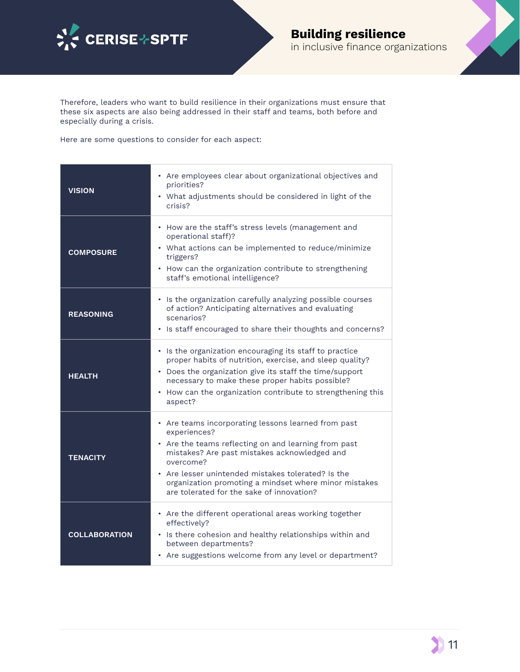



Therefore, leaders who want to build resilience in their organizations must ensure that these six aspects are also being addressed in their staff and teams, both before and especially during a crisis.

Here are some questions to consider for each aspect:

| <b>VISION</b>        | • Are employees clear about organizational objectives and<br>priorities?<br>• What adjustments should be considered in light of the<br>crisis?                                                                                                                                                                                                       |
|----------------------|------------------------------------------------------------------------------------------------------------------------------------------------------------------------------------------------------------------------------------------------------------------------------------------------------------------------------------------------------|
| <b>COMPOSURE</b>     | • How are the staff's stress levels (management and<br>operational staff)?<br>• What actions can be implemented to reduce/minimize<br>triggers?<br>• How can the organization contribute to strengthening<br>staff's emotional intelligence?                                                                                                         |
| <b>REASONING</b>     | • Is the organization carefully analyzing possible courses<br>of action? Anticipating alternatives and evaluating<br>scenarios?<br>• Is staff encouraged to share their thoughts and concerns?                                                                                                                                                       |
| <b>HEALTH</b>        | • Is the organization encouraging its staff to practice<br>proper habits of nutrition, exercise, and sleep quality?<br>• Does the organization give its staff the time/support<br>necessary to make these proper habits possible?<br>• How can the organization contribute to strengthening this<br>aspect?                                          |
| <b>TENACITY</b>      | • Are teams incorporating lessons learned from past<br>experiences?<br>• Are the teams reflecting on and learning from past<br>mistakes? Are past mistakes acknowledged and<br>overcome?<br>• Are lesser unintended mistakes tolerated? Is the<br>organization promoting a mindset where minor mistakes<br>are tolerated for the sake of innovation? |
| <b>COLLABORATION</b> | • Are the different operational areas working together<br>effectively?<br>• Is there cohesion and healthy relationships within and<br>between departments?<br>• Are suggestions welcome from any level or department?                                                                                                                                |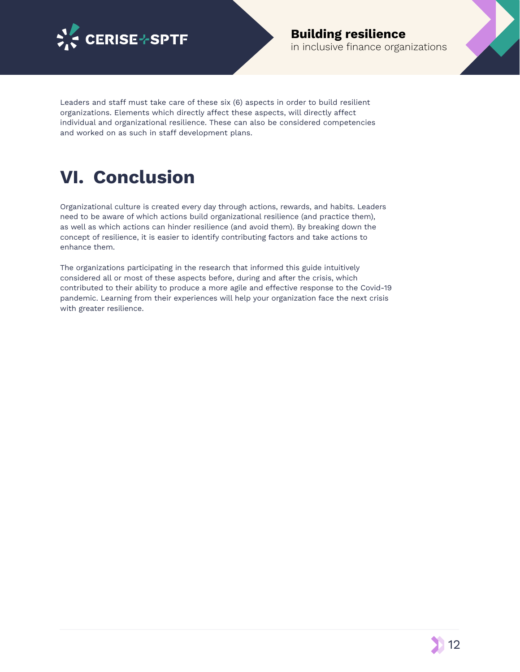

#### **Building resilience**  in inclusive finance organizations

Leaders and staff must take care of these six (6) aspects in order to build resilient organizations. Elements which directly afect these aspects, will directly afect individual and organizational resilience. These can also be considered competencies and worked on as such in staff development plans.

### **VI. Conclusion**

Organizational culture is created every day through actions, rewards, and habits. Leaders need to be aware of which actions build organizational resilience (and practice them), as well as which actions can hinder resilience (and avoid them). By breaking down the concept of resilience, it is easier to identify contributing factors and take actions to enhance them.

The organizations participating in the research that informed this guide intuitively considered all or most of these aspects before, during and after the crisis, which contributed to their ability to produce a more agile and efective response to the Covid-19 pandemic. Learning from their experiences will help your organization face the next crisis with greater resilience.

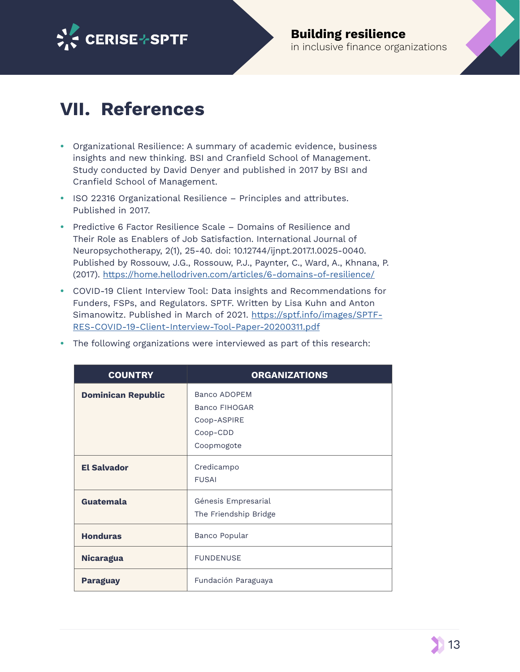

### **VII. References**

- **•** Organizational Resilience: A summary of academic evidence, business insights and new thinking. BSI and Cranfield School of Management. Study conducted by David Denyer and published in 2017 by BSI and Cranfield School of Management.
- **•** ISO 22316 Organizational Resilience Principles and attributes. Published in 2017.
- **•** Predictive 6 Factor Resilience Scale Domains of Resilience and Their Role as Enablers of Job Satisfaction. International Journal of Neuropsychotherapy, 2(1), 25-40. doi: 10.12744/ijnpt.2017.1.0025-0040. Published by Rossouw, J.G., Rossouw, P.J., Paynter, C., Ward, A., Khnana, P. (2017). <https://home.hellodriven.com/articles/6-domains-of-resilience/>
- **•** COVID-19 Client Interview Tool: Data insights and Recommendations for Funders, FSPs, and Regulators. SPTF. Written by Lisa Kuhn and Anton Simanowitz. Published in March of 2021. [https://sptf.info/images/SPTF-](https://sptf.info/images/SPTF-RES-COVID-19-Client-Interview-Tool-Paper-20200311.pdf)[RES-COVID-19-Client-Interview-Tool-Paper-20200311.pdf](https://sptf.info/images/SPTF-RES-COVID-19-Client-Interview-Tool-Paper-20200311.pdf)

| <b>COUNTRY</b>            | <b>ORGANIZATIONS</b>                                                                 |
|---------------------------|--------------------------------------------------------------------------------------|
| <b>Dominican Republic</b> | <b>Banco ADOPEM</b><br><b>Banco FIHOGAR</b><br>Coop-ASPIRE<br>Coop-CDD<br>Coopmogote |
| <b>El Salvador</b>        | Credicampo<br><b>FUSAI</b>                                                           |
| Guatemala                 | Génesis Empresarial<br>The Friendship Bridge                                         |
| <b>Honduras</b>           | Banco Popular                                                                        |
| <b>Nicaragua</b>          | <b>FUNDENUSE</b>                                                                     |
| <b>Paraguay</b>           | Fundación Paraguaya                                                                  |

**•** The following organizations were interviewed as part of this research:

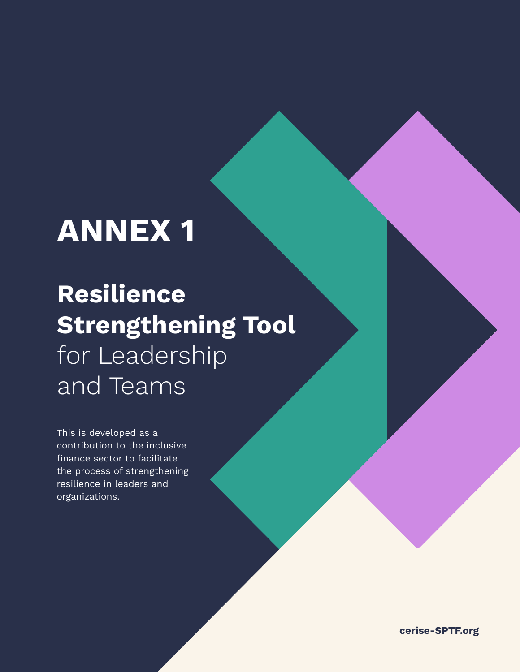# **ANNEX 1**

## **Resilience Strengthening Tool**  for Leadership and Teams

This is developed as a contribution to the inclusive finance sector to facilitate the process of strengthening resilience in leaders and organizations.

**cerise-SPTF.org**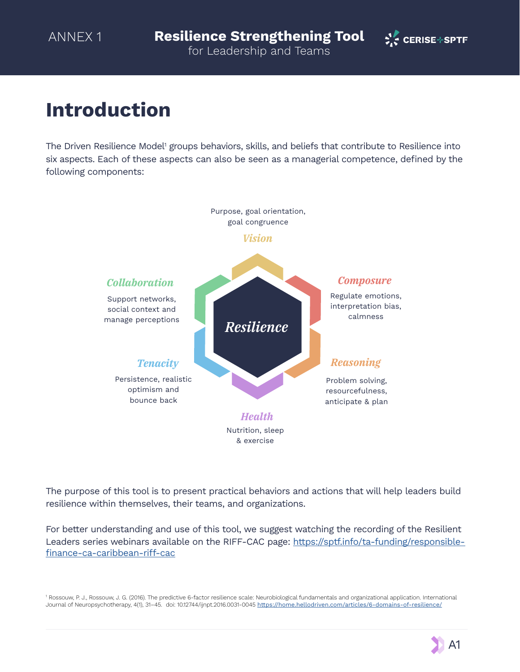

### **Introduction**

The Driven Resilience Model<sup>1</sup> groups behaviors, skills, and beliefs that contribute to Resilience into six aspects. Each of these aspects can also be seen as a managerial competence, defned by the following components:



The purpose of this tool is to present practical behaviors and actions that will help leaders build resilience within themselves, their teams, and organizations.

For better understanding and use of this tool, we suggest watching the recording of the Resilient Leaders series webinars available on the RIFF-CAC page: [https://sptf.info/ta-funding/responsible](https://sptf.info/ta-funding/responsible-finance-ca-caribbean-riff-cac)finance-ca-caribbean-riff-cac

1 Rossouw, P. J., Rossouw, J. G. (2016). The predictive 6-factor resilience scale: Neurobiological fundamentals and organizational application. International Journal of Neuropsychotherapy, 4(1), 31-45. doi: 10.12744/ijnpt.2016.0031-0045 <https://home.hellodriven.com/articles/6-domains-of-resilience/>

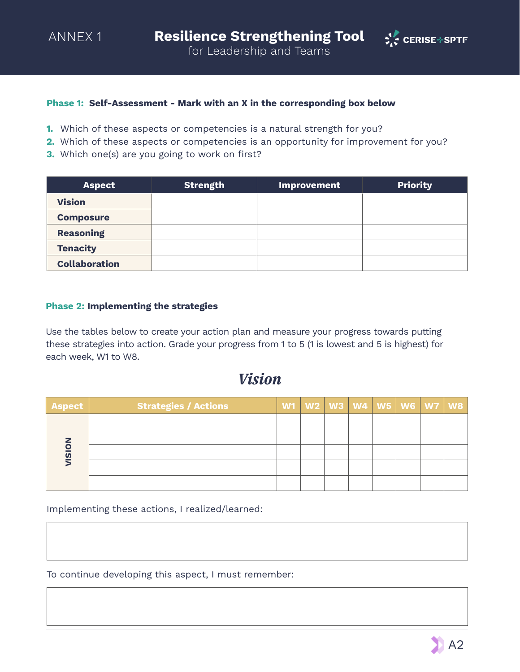

#### **Phase 1: Self-Assessment - Mark with an X in the corresponding box below**

- **1.** Which of these aspects or competencies is a natural strength for you?
- **2.** Which of these aspects or competencies is an opportunity for improvement for you?
- **3.** Which one(s) are you going to work on first?

| <b>Aspect</b>        | <b>Strength</b> | <b>Improvement</b> | <b>Priority</b> |
|----------------------|-----------------|--------------------|-----------------|
| <b>Vision</b>        |                 |                    |                 |
| <b>Composure</b>     |                 |                    |                 |
| <b>Reasoning</b>     |                 |                    |                 |
| <b>Tenacity</b>      |                 |                    |                 |
| <b>Collaboration</b> |                 |                    |                 |

#### **Phase 2: Implementing the strategies**

Use the tables below to create your action plan and measure your progress towards putting these strategies into action. Grade your progress from 1 to 5 (1 is lowest and 5 is highest) for each week, W1 to W8.

#### *Vision*

| Aspect                  | <b>Strategies / Actions</b> |  |  |  | W1   W2   W3   W4   W5   W6   W7   W8 |
|-------------------------|-----------------------------|--|--|--|---------------------------------------|
|                         |                             |  |  |  |                                       |
|                         |                             |  |  |  |                                       |
| $\overline{\mathbf{v}}$ |                             |  |  |  |                                       |
|                         |                             |  |  |  |                                       |
|                         |                             |  |  |  |                                       |

Implementing these actions, I realized/learned:

To continue developing this aspect, I must remember: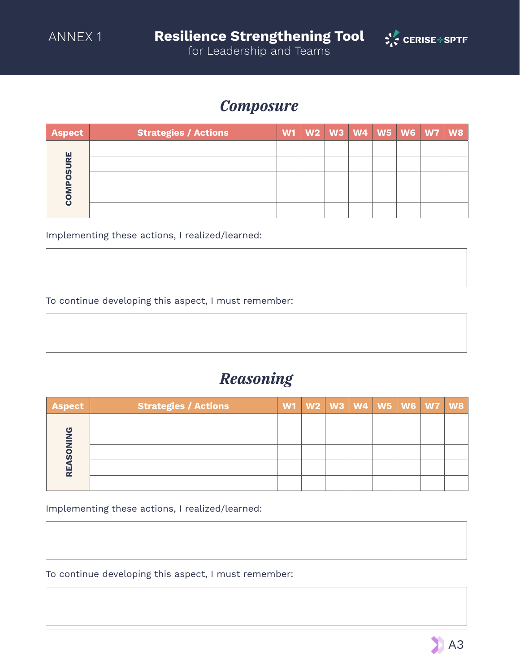

for Leadership and Teams

#### *Composure*

| <b>Aspect</b>               | <b>Strategies / Actions</b> |  | W1   W2   W3   W4   W5   W6   W7   W8 |  |  |
|-----------------------------|-----------------------------|--|---------------------------------------|--|--|
|                             |                             |  |                                       |  |  |
| <b>RE</b><br>$\overline{v}$ |                             |  |                                       |  |  |
|                             |                             |  |                                       |  |  |
|                             |                             |  |                                       |  |  |
|                             |                             |  |                                       |  |  |

Implementing these actions, I realized/learned:

To continue developing this aspect, I must remember:

### *Reasoning*

| <b>Aspect</b> | <b>Strategies / Actions</b> | W1   W2   W3   W4   W5   W6   W7   W8 |  |  |  |
|---------------|-----------------------------|---------------------------------------|--|--|--|
|               |                             |                                       |  |  |  |
| க             |                             |                                       |  |  |  |
|               |                             |                                       |  |  |  |
|               |                             |                                       |  |  |  |
|               |                             |                                       |  |  |  |

Implementing these actions, I realized/learned:

To continue developing this aspect, I must remember: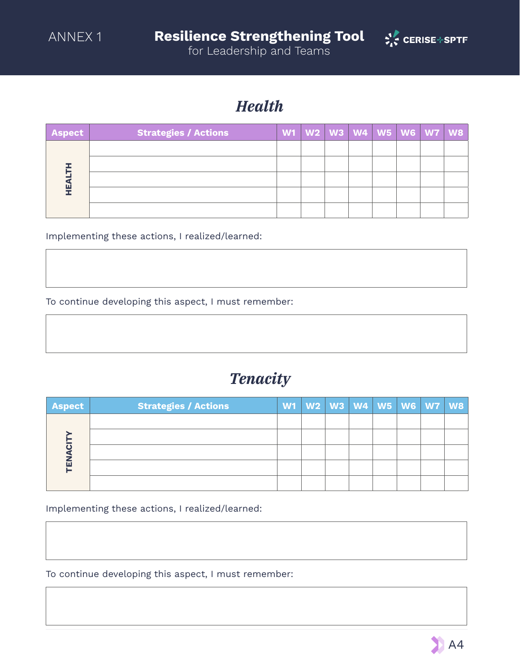

for Leadership and Teams

### *Health*

| Aspect | <b>Strategies / Actions</b> |  |  |  | W1   W2   W3   W4   W5   W6   W7   W8 |
|--------|-----------------------------|--|--|--|---------------------------------------|
|        |                             |  |  |  |                                       |
|        |                             |  |  |  |                                       |
| ш      |                             |  |  |  |                                       |
|        |                             |  |  |  |                                       |
|        |                             |  |  |  |                                       |

Implementing these actions, I realized/learned:

To continue developing this aspect, I must remember:

### *Tenacity*

| <b>Aspect</b> | <b>Strategies / Actions</b> | W1   W2   W3   W4   W5   W6   W7   W8 |  |  |  |
|---------------|-----------------------------|---------------------------------------|--|--|--|
| 靣             |                             |                                       |  |  |  |
|               |                             |                                       |  |  |  |
|               |                             |                                       |  |  |  |
|               |                             |                                       |  |  |  |
|               |                             |                                       |  |  |  |

Implementing these actions, I realized/learned:

To continue developing this aspect, I must remember: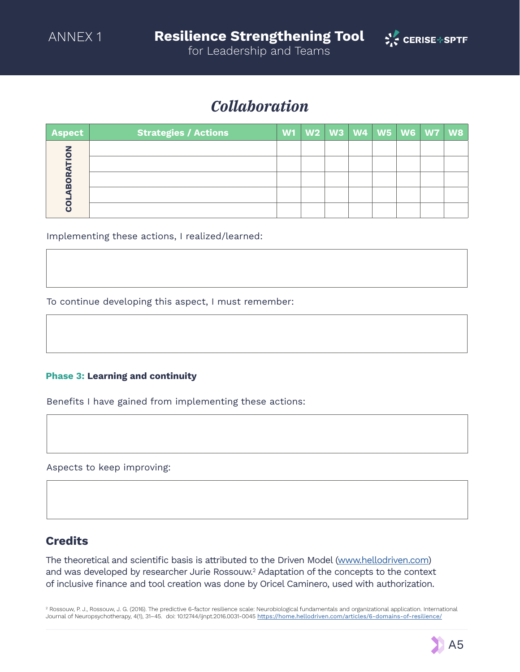

*Collaboration*

| Aspect         | <b>Strategies / Actions</b> |  | W1   W2   W3   W4   W5   W6   W7   W8 |  |  |
|----------------|-----------------------------|--|---------------------------------------|--|--|
| $\bullet$<br>m |                             |  |                                       |  |  |
|                |                             |  |                                       |  |  |
|                |                             |  |                                       |  |  |
|                |                             |  |                                       |  |  |
|                |                             |  |                                       |  |  |

Implementing these actions, I realized/learned:

To continue developing this aspect, I must remember:

#### **Phase 3: Learning and continuity**

Benefits I have gained from implementing these actions:

Aspects to keep improving:

#### **Credits**

The theoretical and scientific basis is attributed to the Driven Model ([www.hellodriven.com](http://www.hellodriven.com)) and was developed by researcher Jurie Rossouw.<sup>2</sup> Adaptation of the concepts to the context of inclusive fnance and tool creation was done by Oricel Caminero, used with authorization.

2 Rossouw, P. J., Rossouw, J. G. (2016). The predictive 6-factor resilience scale: Neurobiological fundamentals and organizational application. International Journal of Neuropsychotherapy, 4(1), 31–45. doi: 10.12744/ijnpt.2016.0031-0045 <https://home.hellodriven.com/articles/6-domains-of-resilience/>

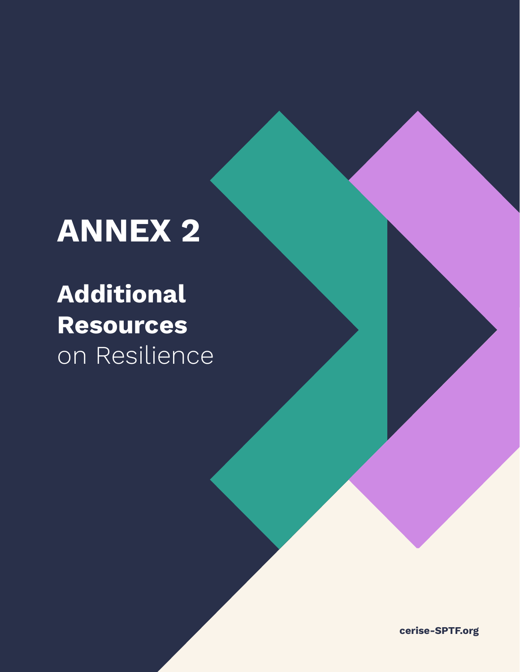# **ANNEX 2**

## **Additional Resources**  on Resilience

**cerise-SPTF.org**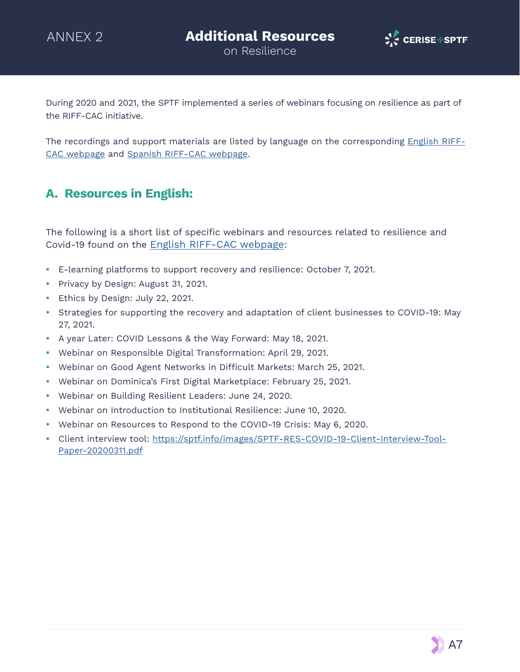

on Resilience

During 2020 and 2021, the SPTF implemented a series of webinars focusing on resilience as part of the RIFF-CAC initiative.

The recordings and support materials are listed by language on the corresponding [English RIFF-](https://sptf.info/ta-funding/responsible-finance-ca-caribbean-riff-cac)[CAC webpage](https://sptf.info/ta-funding/responsible-finance-ca-caribbean-riff-cac) and [Spanish RIFF-CAC webpage.](https://sptf.info/ta-funding/fondo-para-las-finanzas-responsables-e-inclusivas-ffri)

#### **A. Resources in English:**

The following is a short list of specific webinars and resources related to resilience and Covid-19 found on the [English RIFF-CAC webpage:](https://sptf.info/ta-funding/responsible-finance-ca-caribbean-riff-cac)

- **•** E-learning platforms to support recovery and resilience: October 7, 2021.
- **•** Privacy by Design: August 31, 2021.
- **•** Ethics by Design: July 22, 2021.
- **•** Strategies for supporting the recovery and adaptation of client businesses to COVID-19: May 27, 2021.
- **•** A year Later: COVID Lessons & the Way Forward: May 18, 2021.
- **•** Webinar on Responsible Digital Transformation: April 29, 2021.
- Webinar on Good Agent Networks in Difficult Markets: March 25, 2021.
- **•** Webinar on Dominica's First Digital Marketplace: February 25, 2021.
- **•** Webinar on Building Resilient Leaders: June 24, 2020.
- **•** Webinar on Introduction to Institutional Resilience: June 10, 2020.
- **•** Webinar on Resources to Respond to the COVID-19 Crisis: May 6, 2020.
- **•** Client interview tool: [https://sptf.info/images/SPTF-RES-COVID-19-Client-Interview-Tool-](https://sptf.info/images/SPTF-RES-COVID-19-Client-Interview-Tool-Paper-20200311.pdf)[Paper-20200311.pdf](https://sptf.info/images/SPTF-RES-COVID-19-Client-Interview-Tool-Paper-20200311.pdf)